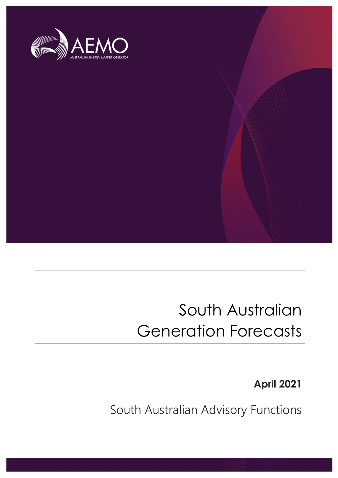

## South Australian Generation Forecasts

**April 2021**

South Australian Advisory Functions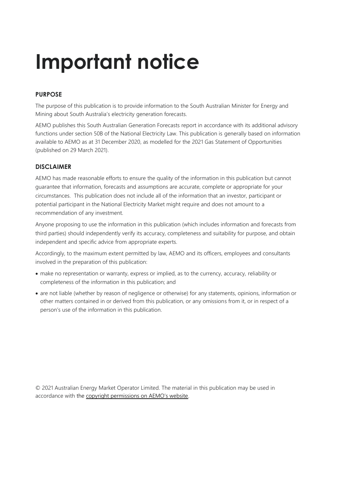## **Important notice**

## **PURPOSE**

The purpose of this publication is to provide information to the South Australian Minister for Energy and Mining about South Australia's electricity generation forecasts.

AEMO publishes this South Australian Generation Forecasts report in accordance with its additional advisory functions under section 50B of the National Electricity Law. This publication is generally based on information available to AEMO as at 31 December 2020, as modelled for the 2021 Gas Statement of Opportunities (published on 29 March 2021).

## **DISCLAIMER**

AEMO has made reasonable efforts to ensure the quality of the information in this publication but cannot guarantee that information, forecasts and assumptions are accurate, complete or appropriate for your circumstances. This publication does not include all of the information that an investor, participant or potential participant in the National Electricity Market might require and does not amount to a recommendation of any investment.

Anyone proposing to use the information in this publication (which includes information and forecasts from third parties) should independently verify its accuracy, completeness and suitability for purpose, and obtain independent and specific advice from appropriate experts.

Accordingly, to the maximum extent permitted by law, AEMO and its officers, employees and consultants involved in the preparation of this publication:

- make no representation or warranty, express or implied, as to the currency, accuracy, reliability or completeness of the information in this publication; and
- are not liable (whether by reason of negligence or otherwise) for any statements, opinions, information or other matters contained in or derived from this publication, or any omissions from it, or in respect of a person's use of the information in this publication.

© 2021 Australian Energy Market Operator Limited. The material in this publication may be used in accordance with the [copyright permissions on AEMO's website](http://aemo.com.au/Privacy_and_Legal_Notices/Copyright_Permissions_Notice).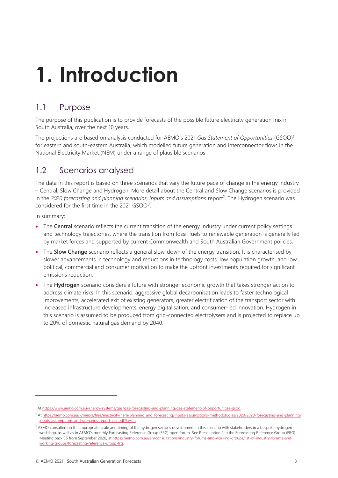## **1. Introduction**

## 1.1 Purpose

The purpose of this publication is to provide forecasts of the possible future electricity generation mix in South Australia, over the next 10 years.

The projections are based on analysis conducted for AEMO's 2021 *Gas Statement of Opportunities* (GSOO)<sup>1</sup> for eastern and south-eastern Australia, which modelled future generation and interconnector flows in the National Electricity Market (NEM) under a range of plausible scenarios.

## 1.2 Scenarios analysed

The data in this report is based on three scenarios that vary the future pace of change in the energy industry – Central, Slow Change and Hydrogen. More detail about the Central and Slow Change scenarios is provided in the *2020 forecasting and planning scenarios, inputs and assumptions* report<sup>2</sup> . The Hydrogen scenario was considered for the first time in the 2021 GSOO<sup>3</sup>.

In summary:

- The **Central** scenario reflects the current transition of the energy industry under current policy settings and technology trajectories, where the transition from fossil fuels to renewable generation is generally led by market forces and supported by current Commonwealth and South Australian Government policies.
- The **Slow Change** scenario reflects a general slow-down of the energy transition. It is characterised by slower advancements in technology and reductions in technology costs, low population growth, and low political, commercial and consumer motivation to make the upfront investments required for significant emissions reduction.
- The **Hydrogen** scenario considers a future with stronger economic growth that takes stronger action to address climate risks. In this scenario, aggressive global decarbonisation leads to faster technological improvements, accelerated exit of existing generators, greater electrification of the transport sector with increased infrastructure developments, energy digitalisation, and consumer-led innovation. Hydrogen in this scenario is assumed to be produced from grid-connected electrolysers and is projected to replace up to 20% of domestic natural gas demand by 2040.

<sup>1</sup> A[t https://www.aemo.com.au/energy-systems/gas/gas-forecasting-and-planning/gas-statement-of-opportunities-gsoo.](https://www.aemo.com.au/energy-systems/gas/gas-forecasting-and-planning/gas-statement-of-opportunities-gsoo)

<sup>&</sup>lt;sup>2</sup> A[t https://aemo.com.au/-/media/files/electricity/nem/planning\\_and\\_forecasting/inputs-assumptions-methodologies/2020/2020-forecasting-and-planning](https://aemo.com.au/-/media/files/electricity/nem/planning_and_forecasting/inputs-assumptions-methodologies/2020/2020-forecasting-and-planning-inputs-assumptions-and-scenarios-report-iasr.pdf?la=en) $in$ nuts-assumptions-and-scenarios-report-iasr.pdf?la=en.

<sup>&</sup>lt;sup>3</sup> AEMO consulted on the appropriate scale and timing of the hydrogen sector's development in this scenario with stakeholders in a bespoke hydrogen workshop, as well as in AEMO's monthly Forecasting Reference Group (FRG) open forum. See Presentation 2 in the Forecasting Reference Group (FRG) Meeting pack 35 from September 2020, a[t https://aemo.com.au/en/consultations/industry-forums-and-working-groups/list-of-industry-forums-and](https://aemo.com.au/en/consultations/industry-forums-and-working-groups/list-of-industry-forums-and-working-groups/forecasting-reference-group-frg)[working-groups/forecasting-reference-group-frg.](https://aemo.com.au/en/consultations/industry-forums-and-working-groups/list-of-industry-forums-and-working-groups/forecasting-reference-group-frg)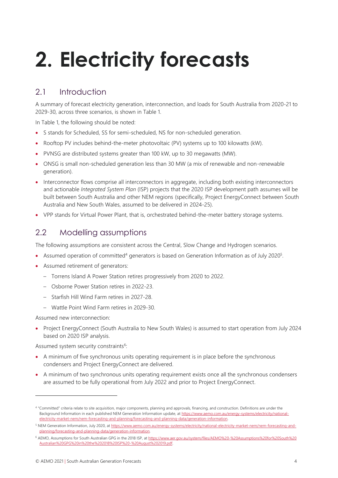# **2. Electricity forecasts**

## 2.1 Introduction

A summary of forecast electricity generation, interconnection, and loads for South Australia from 2020-21 to 2029-30, across three scenarios, is shown in Table 1.

In Table 1, the following should be noted:

- S stands for Scheduled, SS for semi-scheduled, NS for non-scheduled generation.
- Rooftop PV includes behind-the-meter photovoltaic (PV) systems up to 100 kilowatts (kW).
- PVNSG are distributed systems greater than 100 kW, up to 30 megawatts (MW).
- ONSG is small non-scheduled generation less than 30 MW (a mix of renewable and non-renewable generation).
- Interconnector flows comprise all interconnectors in aggregate, including both existing interconnectors and actionable *Integrated System Plan* (ISP) projects that the 2020 ISP development path assumes will be built between South Australia and other NEM regions (specifically, Project EnergyConnect between South Australia and New South Wales, assumed to be delivered in 2024-25).
- VPP stands for Virtual Power Plant, that is, orchestrated behind-the-meter battery storage systems.

## 2.2 Modelling assumptions

The following assumptions are consistent across the Central, Slow Change and Hydrogen scenarios.

- Assumed operation of committed<sup>4</sup> generators is based on Generation Information as of July 2020<sup>5</sup>.
- Assumed retirement of generators:
	- Torrens Island A Power Station retires progressively from 2020 to 2022.
	- Osborne Power Station retires in 2022-23.
	- Starfish Hill Wind Farm retires in 2027-28.
	- Wattle Point Wind Farm retires in 2029-30.

Assumed new interconnection:

• Project EnergyConnect (South Australia to New South Wales) is assumed to start operation from July 2024 based on 2020 ISP analysis.

Assumed system security constraints<sup>6</sup>:

- A minimum of five synchronous units operating requirement is in place before the synchronous condensers and Project EnergyConnect are delivered.
- A minimum of two synchronous units operating requirement exists once all the synchronous condensers are assumed to be fully operational from July 2022 and prior to Project EnergyConnect.

<sup>4</sup> "Committed" criteria relate to site acquisition, major components, planning and approvals, financing, and construction. Definitions are under the Background Information in each published NEM Generation Information update, at [https://www.aemo.com.au/energy-systems/electricity/national](https://www.aemo.com.au/energy-systems/electricity/national-electricity-market-nem/nem-forecasting-and-planning/forecasting-and-planning-data/generation-information)[electricity-market-nem/nem-forecasting-and-planning/forecasting-and-planning-data/generation-information.](https://www.aemo.com.au/energy-systems/electricity/national-electricity-market-nem/nem-forecasting-and-planning/forecasting-and-planning-data/generation-information)

<sup>5</sup> NEM Generation Information, July 2020, a[t https://www.aemo.com.au/energy-systems/electricity/national-electricity-market-nem/nem-forecasting-and](https://www.aemo.com.au/energy-systems/electricity/national-electricity-market-nem/nem-forecasting-and-planning/forecasting-and-planning-data/generation-information)[planning/forecasting-and-planning-data/generation-information.](https://www.aemo.com.au/energy-systems/electricity/national-electricity-market-nem/nem-forecasting-and-planning/forecasting-and-planning-data/generation-information)

<sup>6</sup> AEMO, Assumptions for South Australian GPG in the 2018 ISP, a[t https://www.aer.gov.au/system/files/AEMO%20-%20Assumptions%20for%20South%20](https://www.aer.gov.au/system/files/AEMO%20-%20Assumptions%20for%20South%20Australian%20GPG%20in%20the%202018%20ISP%20-%20August%202019.pdf) [Australian%20GPG%20in%20the%202018%20ISP%20-%20August%202019.pdf.](https://www.aer.gov.au/system/files/AEMO%20-%20Assumptions%20for%20South%20Australian%20GPG%20in%20the%202018%20ISP%20-%20August%202019.pdf)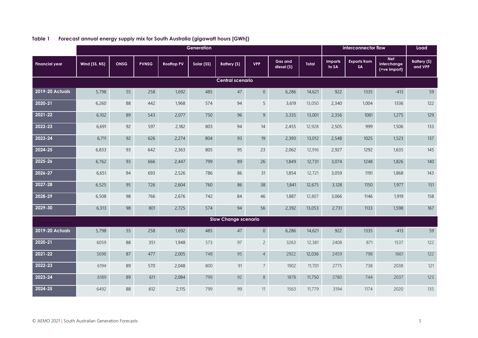|                             | Generation    |             |              |                   |            |             |                |                              |        |                  | Interconnector flow              |                                           |                        |
|-----------------------------|---------------|-------------|--------------|-------------------|------------|-------------|----------------|------------------------------|--------|------------------|----------------------------------|-------------------------------------------|------------------------|
| <b>Financial year</b>       | Wind (SS, NS) | <b>ONSG</b> | <b>PVNSG</b> | <b>Rooftop PV</b> | Solar (SS) | Battery (S) | <b>VPP</b>     | <b>Gas and</b><br>diesel (S) | Total  | Imports<br>to SA | <b>Exports from</b><br><b>SA</b> | <b>Net</b><br>interchange<br>(+ve import) | Battery (S)<br>and VPP |
| Central scenario            |               |             |              |                   |            |             |                |                              |        |                  |                                  |                                           |                        |
| <b>2019-20 Actuals</b>      | 5,798         | 55          | 258          | 1,692             | 485        | 47          | $\overline{0}$ | 6,286                        | 14,621 | 922              | 1335                             | $-413$                                    | 59                     |
| 2020-21                     | 6,260         | 88          | 442          | 1,968             | 574        | 94          | 5              | 3,619                        | 13,050 | 2,340            | 1,004                            | 1336                                      | 122                    |
| 2021-22                     | 6,102         | 89          | 543          | 2,077             | 750        | 96          | $\overline{9}$ | 3,335                        | 13,001 | 2,356            | 1081                             | 1,275                                     | 129                    |
| 2022-23                     | 6,691         | 92          | 597          | 2,182             | 803        | 94          | 14             | 2,455                        | 12,928 | 2,505            | 999                              | 1,506                                     | 133                    |
| 2023-24                     | 6,711         | 92          | 626          | 2,274             | 804        | 93          | 19             | 2,393                        | 13,012 | 2,548            | 1025                             | 1,523                                     | 137                    |
| 2024-25                     | 6,833         | 93          | 642          | 2,363             | 805        | 95          | 23             | 2,062                        | 12,916 | 2,927            | 1292                             | 1,635                                     | 145                    |
| 2025-26                     | 6,762         | 93          | 666          | 2,447             | 799        | 89          | 26             | 1,849                        | 12,731 | 3,074            | 1248                             | 1,826                                     | 140                    |
| 2026-27                     | 6,651         | 94          | 693          | 2,526             | 786        | 86          | 31             | 1,854                        | 12,721 | 3,059            | 1191                             | 1,868                                     | 143                    |
| 2027-28                     | 6,525         | 95          | 726          | 2,604             | 760        | 86          | 38             | 1,841                        | 12,675 | 3,128            | 1150                             | 1,977                                     | 151                    |
| 2028-29                     | 6,508         | 98          | 766          | 2,676             | 742        | 84          | 46             | 1,887                        | 12,807 | 3,066            | 1146                             | 1,919                                     | 158                    |
| 2029-30                     | 6,313         | 98          | 801          | 2,725             | 574        | 94          | 56             | 2,392                        | 13,053 | 2,731            | 1133                             | 1,598                                     | 167                    |
| <b>Slow Change scenario</b> |               |             |              |                   |            |             |                |                              |        |                  |                                  |                                           |                        |
| <b>2019-20 Actuals</b>      | 5,798         | 55          | 258          | 1,692             | 485        | 47          | $\overline{0}$ | 6,286                        | 14,621 | 922              | 1335                             | $-413$                                    | 59                     |
| 2020-21                     | 6059          | 88          | 351          | 1,948             | 573        | 97          | $\overline{2}$ | 3263                         | 12,381 | 2408             | 871                              | 1537                                      | 122                    |
| 2021-22                     | 5698          | 87          | 477          | 2,005             | 748        | 95          | $\overline{4}$ | 2922                         | 12,036 | 2459             | 798                              | 1661                                      | 122                    |
| 2022-23                     | 6194          | 89          | 570          | 2,048             | 800        | 91          | $\overline{7}$ | 1902                         | 11,701 | 2775             | 738                              | 2038                                      | 121                    |
| 2023-24                     | 6189          | 89          | 611          | 2,084             | 799        | 92          | 8              | 1878                         | 11,750 | 2780             | 744                              | 2037                                      | 123                    |
| 2024-25                     | 6492          | 88          | 612          | 2,115             | 799        | 99          | 11             | 1563                         | 11,779 | 3194             | 1174                             | 2020                                      | 135                    |

## **Table 1 Forecast annual energy supply mix for South Australia (gigawatt hours [GWh])**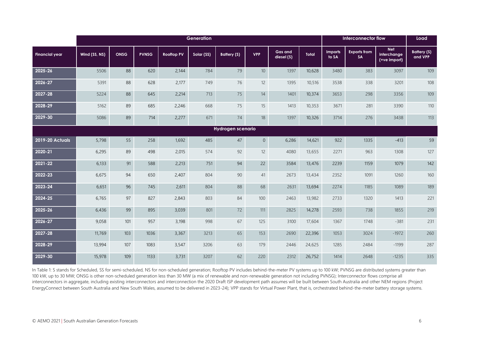|                        | Generation    |             |              |                   |            |             |                |                              |              | Interconnector flow     |                           |                                                  | Load                          |
|------------------------|---------------|-------------|--------------|-------------------|------------|-------------|----------------|------------------------------|--------------|-------------------------|---------------------------|--------------------------------------------------|-------------------------------|
| <b>Financial year</b>  | Wind (SS, NS) | <b>ONSG</b> | <b>PVNSG</b> | <b>Rooffop PV</b> | Solar (SS) | Battery (S) | <b>VPP</b>     | <b>Gas and</b><br>diesel (S) | <b>Total</b> | <b>Imports</b><br>to SA | <b>Exports from</b><br>SA | <b>Net</b><br><i>interchange</i><br>(+ve import) | <b>Battery (S)</b><br>and VPP |
| 2025-26                | 5506          | 88          | 620          | 2,144             | 784        | 79          | $10$           | 1397                         | 10,628       | 3480                    | 383                       | 3097                                             | 109                           |
| 2026-27                | 5391          | 88          | 628          | 2,177             | 749        | 76          | 12             | 1395                         | 10,516       | 3538                    | 338                       | 3201                                             | 108                           |
| 2027-28                | 5224          | 88          | 645          | 2,214             | 713        | 75          | 14             | 1401                         | 10,374       | 3653                    | 298                       | 3356                                             | 109                           |
| 2028-29                | 5162          | 89          | 685          | 2,246             | 668        | 75          | 15             | 1413                         | 10,353       | 3671                    | 281                       | 3390                                             | $110$                         |
| 2029-30                | 5086          | 89          | 714          | 2,277             | 671        | 74          | 18             | 1397                         | 10,326       | 3714                    | 276                       | 3438                                             | 113                           |
| Hydrogen scenario      |               |             |              |                   |            |             |                |                              |              |                         |                           |                                                  |                               |
| <b>2019-20 Actuals</b> | 5,798         | 55          | 258          | 1,692             | 485        | 47          | $\overline{0}$ | 6,286                        | 14,621       | 922                     | 1335                      | $-413$                                           | 59                            |
| 2020-21                | 6,295         | 89          | 498          | 2,015             | 574        | 92          | 12             | 4080                         | 13,655       | 2271                    | 963                       | 1308                                             | 127                           |
| 2021-22                | 6,133         | 91          | 588          | 2,213             | 751        | 94          | 22             | 3584                         | 13,476       | 2239                    | 1159                      | 1079                                             | 142                           |
| 2022-23                | 6,675         | 94          | 650          | 2,407             | 804        | 90          | 41             | 2673                         | 13,434       | 2352                    | 1091                      | 1260                                             | 160                           |
| 2023-24                | 6,651         | 96          | 745          | 2,611             | 804        | 88          | 68             | 2631                         | 13,694       | 2274                    | 1185                      | 1089                                             | 189                           |
| 2024-25                | 6,765         | 97          | 827          | 2,843             | 803        | 84          | 100            | 2463                         | 13,982       | 2733                    | 1320                      | 1413                                             | 221                           |
| 2025-26                | 6,436         | 99          | 895          | 3,039             | 801        | $72$        | 111            | 2825                         | 14,278       | 2593                    | 738                       | 1855                                             | 219                           |
| 2026-27                | 9,058         | 101         | 957          | 3,198             | 998        | 67          | 125            | 3100                         | 17,604       | 1367                    | 1748                      | $-381$                                           | 231                           |
| 2027-28                | 11,769        | 103         | 1036         | 3,367             | 3213       | 65          | 153            | 2690                         | 22,396       | 1053                    | 3024                      | $-1972$                                          | 260                           |
| 2028-29                | 13,994        | 107         | 1083         | 3,547             | 3206       | 63          | 179            | 2446                         | 24,625       | 1285                    | 2484                      | $-1199$                                          | 287                           |
| 2029-30                | 15,978        | 109         | 1133         | 3,731             | 3207       | 62          | 220            | 2312                         | 26,752       | 1414                    | 2648                      | $-1235$                                          | 335                           |

In Table 1: S stands for Scheduled, SS for semi-scheduled, NS for non-scheduled generation; Rooftop PV includes behind-the-meter PV systems up to 100 kW; PVNSG are distributed systems greater than 100 kW, up to 30 MW; ONSG is other non-scheduled generation less than 30 MW (a mix of renewable and non-renewable generation not including PVNSG); Interconnector flows comprise all interconnectors in aggregate, including existing interconnectors and interconnection the 2020 Draft ISP development path assumes will be built between South Australia and other NEM regions (Project EnergyConnect between South Australia and New South Wales, assumed to be delivered in 2023-24); VPP stands for Virtual Power Plant, that is, orchestrated behind-the-meter battery storage systems.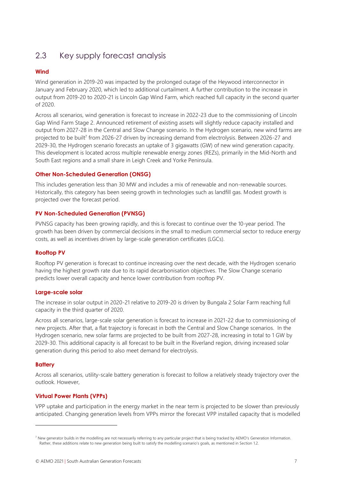## 2.3 Key supply forecast analysis

## **Wind**

Wind generation in 2019-20 was impacted by the prolonged outage of the Heywood interconnector in January and February 2020, which led to additional curtailment. A further contribution to the increase in output from 2019-20 to 2020-21 is Lincoln Gap Wind Farm, which reached full capacity in the second quarter of 2020.

Across all scenarios, wind generation is forecast to increase in 2022-23 due to the commissioning of Lincoln Gap Wind Farm Stage 2. Announced retirement of existing assets will slightly reduce capacity installed and output from 2027-28 in the Central and Slow Change scenario. In the Hydrogen scenario, new wind farms are projected to be built<sup>7</sup> from 2026-27 driven by increasing demand from electrolysis. Between 2026-27 and 2029-30, the Hydrogen scenario forecasts an uptake of 3 gigawatts (GW) of new wind generation capacity. This development is located across multiple renewable energy zones (REZs), primarily in the Mid-North and South East regions and a small share in Leigh Creek and Yorke Peninsula.

### **Other Non-Scheduled Generation (ONSG)**

This includes generation less than 30 MW and includes a mix of renewable and non-renewable sources. Historically, this category has been seeing growth in technologies such as landfill gas. Modest growth is projected over the forecast period.

### **PV Non-Scheduled Generation (PVNSG)**

PVNSG capacity has been growing rapidly, and this is forecast to continue over the 10-year period. The growth has been driven by commercial decisions in the small to medium commercial sector to reduce energy costs, as well as incentives driven by large-scale generation certificates (LGCs).

## **Rooftop PV**

Rooftop PV generation is forecast to continue increasing over the next decade, with the Hydrogen scenario having the highest growth rate due to its rapid decarbonisation objectives. The Slow Change scenario predicts lower overall capacity and hence lower contribution from rooftop PV.

#### **Large-scale solar**

The increase in solar output in 2020-21 relative to 2019-20 is driven by Bungala 2 Solar Farm reaching full capacity in the third quarter of 2020.

Across all scenarios, large-scale solar generation is forecast to increase in 2021-22 due to commissioning of new projects. After that, a flat trajectory is forecast in both the Central and Slow Change scenarios. In the Hydrogen scenario, new solar farms are projected to be built from 2027-28, increasing in total to 1 GW by 2029-30. This additional capacity is all forecast to be built in the Riverland region, driving increased solar generation during this period to also meet demand for electrolysis.

#### **Battery**

Across all scenarios, utility-scale battery generation is forecast to follow a relatively steady trajectory over the outlook. However,

## **Virtual Power Plants (VPPs)**

VPP uptake and participation in the energy market in the near term is projected to be slower than previously anticipated. Changing generation levels from VPPs mirror the forecast VPP installed capacity that is modelled

<sup>7</sup> New generator builds in the modelling are not necessarily referring to any particular project that is being tracked by AEMO's Generation Information. Rather, these additions relate to new generation being built to satisfy the modelling scenario's goals, as mentioned in Section 1.2.